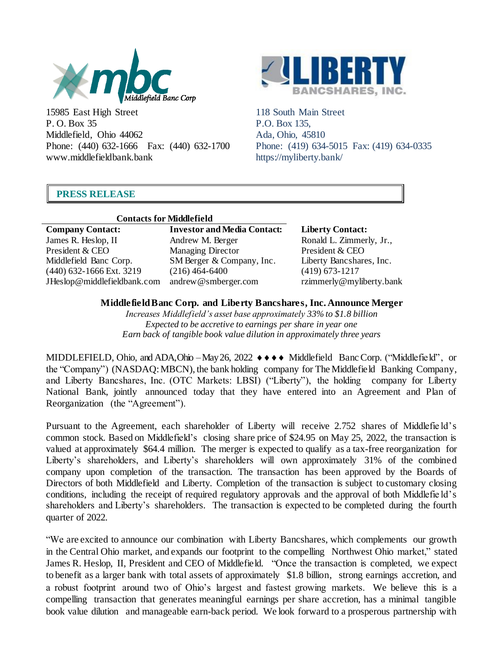

15985 East High Street P. O. Box 35 Middlefield, Ohio 44062 Phone: (440) 632-1666 Fax: (440) 632-1700 www.middlefieldbank.bank



118 South Main Street P.O. Box 135, Ada, Ohio, 45810 Phone: (419) 634-5015 Fax: (419) 634-0335 https://myliberty.bank/

# **PRESS RELEASE**

|                             | <b>Contacts form</b> |
|-----------------------------|----------------------|
| <b>Company Contact:</b>     |                      |
| James R. Heslop, II         |                      |
| President & CEO             |                      |
| Middlefield Banc Corp.      |                      |
| (440) 632-1666 Ext. 3219    |                      |
| JHeslop@middlefieldbank.com |                      |

### f**or Middlefield**

**Company Contact: Investor and Media Contact: Liberty Contact:** Andrew M. Berger Managing Director SM Berger & Company, Inc. (216) 464-6400 andrew@smberger.com

Ronald L. Zimmerly, Jr., President & CEO Liberty Bancshares, Inc. (419) 673-1217 rzimmerly@myliberty.bank

# **MiddlefieldBanc Corp. and Liberty Bancshares, Inc. Announce Merger**

*Increases Middlefield's asset base approximately 33% to \$1.8 billion Expected to be accretive to earnings per share in year one Earn back of tangible book value dilution in approximately three years*

MIDDLEFIELD, Ohio, and ADA, Ohio – May 26, 2022  $\leftrightarrow \leftrightarrow \bullet \bullet$  Middlefield BancCorp. ("Middlefield", or the "Company") (NASDAQ:MBCN), the bank holding company for The Middlefield Banking Company, and Liberty Bancshares, Inc. (OTC Markets: LBSI) ("Liberty"), the holding company for Liberty National Bank, jointly announced today that they have entered into an Agreement and Plan of Reorganization (the "Agreement").

Pursuant to the Agreement, each shareholder of Liberty will receive 2.752 shares of Middlefie ld's common stock. Based on Middlefield's closing share price of \$24.95 on May 25, 2022, the transaction is valued at approximately \$64.4 million. The merger is expected to qualify as a tax-free reorganization for Liberty's shareholders, and Liberty's shareholders will own approximately 31% of the combined company upon completion of the transaction. The transaction has been approved by the Boards of Directors of both Middlefield and Liberty. Completion of the transaction is subject to customary closing conditions, including the receipt of required regulatory approvals and the approval of both Middlefie ld's shareholders and Liberty's shareholders. The transaction is expected to be completed during the fourth quarter of 2022.

"We are excited to announce our combination with Liberty Bancshares, which complements our growth in the Central Ohio market, and expands our footprint to the compelling Northwest Ohio market," stated James R. Heslop, II, President and CEO of Middlefield. "Once the transaction is completed, we expect to benefit as a larger bank with total assets of approximately \$1.8 billion, strong earnings accretion, and a robust footprint around two of Ohio's largest and fastest growing markets. We believe this is a compelling transaction that generates meaningful earnings per share accretion, has a minimal tangible book value dilution and manageable earn-back period. We look forward to a prosperous partnership with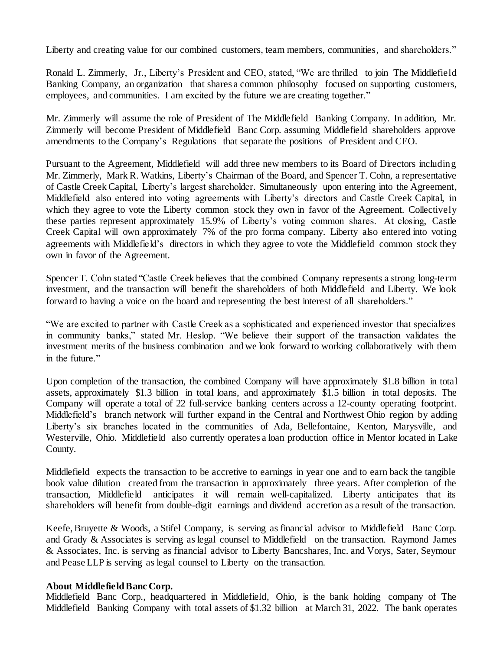Liberty and creating value for our combined customers, team members, communities, and shareholders."

Ronald L. Zimmerly, Jr., Liberty's President and CEO, stated, "We are thrilled to join The Middlefield Banking Company, an organization that shares a common philosophy focused on supporting customers, employees, and communities. I am excited by the future we are creating together."

Mr. Zimmerly will assume the role of President of The Middlefield Banking Company. In addition, Mr. Zimmerly will become President of Middlefield Banc Corp. assuming Middlefield shareholders approve amendments to the Company's Regulations that separate the positions of President and CEO.

Pursuant to the Agreement, Middlefield will add three new members to its Board of Directors including Mr. Zimmerly, Mark R. Watkins, Liberty's Chairman of the Board, and Spencer T. Cohn, a representative of Castle Creek Capital, Liberty's largest shareholder. Simultaneously upon entering into the Agreement, Middlefield also entered into voting agreements with Liberty's directors and Castle Creek Capital, in which they agree to vote the Liberty common stock they own in favor of the Agreement. Collectively these parties represent approximately 15.9% of Liberty's voting common shares. At closing, Castle Creek Capital will own approximately 7% of the pro forma company. Liberty also entered into voting agreements with Middlefield's directors in which they agree to vote the Middlefield common stock they own in favor of the Agreement.

Spencer T. Cohn stated "Castle Creek believes that the combined Company represents a strong long-term investment, and the transaction will benefit the shareholders of both Middlefield and Liberty. We look forward to having a voice on the board and representing the best interest of all shareholders."

"We are excited to partner with Castle Creek as a sophisticated and experienced investor that specializes in community banks," stated Mr. Heslop. "We believe their support of the transaction validates the investment merits of the business combination and we look forward to working collaboratively with them in the future."

Upon completion of the transaction, the combined Company will have approximately \$1.8 billion in total assets, approximately \$1.3 billion in total loans, and approximately \$1.5 billion in total deposits. The Company will operate a total of 22 full-service banking centers across a 12-county operating footprint. Middlefield's branch network will further expand in the Central and Northwest Ohio region by adding Liberty's six branches located in the communities of Ada, Bellefontaine, Kenton, Marysville, and Westerville, Ohio. Middlefield also currently operates a loan production office in Mentor located in Lake County.

Middlefield expects the transaction to be accretive to earnings in year one and to earn back the tangible book value dilution created from the transaction in approximately three years. After completion of the transaction, Middlefield anticipates it will remain well-capitalized. Liberty anticipates that its shareholders will benefit from double-digit earnings and dividend accretion as a result of the transaction.

Keefe,Bruyette & Woods, a Stifel Company, is serving as financial advisor to Middlefield Banc Corp. and Grady & Associates is serving as legal counsel to Middlefield on the transaction. Raymond James & Associates, Inc. is serving as financial advisor to Liberty Bancshares, Inc. and Vorys, Sater, Seymour and Pease LLP is serving as legal counsel to Liberty on the transaction.

## **About MiddlefieldBanc Corp.**

Middlefield Banc Corp., headquartered in Middlefield, Ohio, is the bank holding company of The Middlefield Banking Company with total assets of \$1.32 billion at March 31, 2022. The bank operates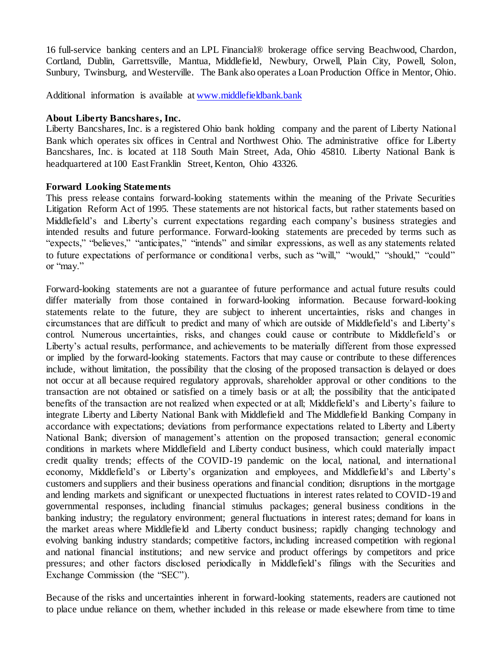16 full-service banking centers and an LPL Financial® brokerage office serving Beachwood, Chardon, Cortland, Dublin, Garrettsville, Mantua, Middlefield, Newbury, Orwell, Plain City, Powell, Solon, Sunbury, Twinsburg, and Westerville. The Bank also operates a Loan Production Office in Mentor, Ohio.

Additional information is available at www.middlefieldbank.bank

## **About Liberty Bancshares, Inc.**

Liberty Bancshares, Inc. is a registered Ohio bank holding company and the parent of Liberty National Bank which operates six offices in Central and Northwest Ohio. The administrative office for Liberty Bancshares, Inc. is located at 118 South Main Street, Ada, Ohio 45810. Liberty National Bank is headquartered at 100 East Franklin Street, Kenton, Ohio 43326.

### **Forward Looking Statements**

This press release contains forward-looking statements within the meaning of the Private Securities Litigation Reform Act of 1995. These statements are not historical facts, but rather statements based on Middlefield's and Liberty's current expectations regarding each company's business strategies and intended results and future performance. Forward-looking statements are preceded by terms such as "expects," "believes," "anticipates," "intends" and similar expressions, as well as any statements related to future expectations of performance or conditional verbs, such as "will," "would," "should," "could" or "may."

Forward-looking statements are not a guarantee of future performance and actual future results could differ materially from those contained in forward-looking information. Because forward-looking statements relate to the future, they are subject to inherent uncertainties, risks and changes in circumstances that are difficult to predict and many of which are outside of Middlefield's and Liberty's control. Numerous uncertainties, risks, and changes could cause or contribute to Middlefield's or Liberty's actual results, performance, and achievements to be materially different from those expressed or implied by the forward-looking statements. Factors that may cause or contribute to these differences include, without limitation, the possibility that the closing of the proposed transaction is delayed or does not occur at all because required regulatory approvals, shareholder approval or other conditions to the transaction are not obtained or satisfied on a timely basis or at all; the possibility that the anticipated benefits of the transaction are not realized when expected or at all; Middlefield's and Liberty's failure to integrate Liberty and Liberty National Bank with Middlefield and The Middlefield Banking Company in accordance with expectations; deviations from performance expectations related to Liberty and Liberty National Bank; diversion of management's attention on the proposed transaction; general economic conditions in markets where Middlefield and Liberty conduct business, which could materially impact credit quality trends; effects of the COVID-19 pandemic on the local, national, and international economy, Middlefield's or Liberty's organization and employees, and Middlefield's and Liberty's customers and suppliers and their business operations and financial condition; disruptions in the mortgage and lending markets and significant or unexpected fluctuations in interest rates related to COVID-19 and governmental responses, including financial stimulus packages; general business conditions in the banking industry; the regulatory environment; general fluctuations in interest rates; demand for loans in the market areas where Middlefield and Liberty conduct business; rapidly changing technology and evolving banking industry standards; competitive factors, including increased competition with regional and national financial institutions; and new service and product offerings by competitors and price pressures; and other factors disclosed periodically in Middlefield's filings with the Securities and Exchange Commission (the "SEC").

Because of the risks and uncertainties inherent in forward-looking statements, readers are cautioned not to place undue reliance on them, whether included in this release or made elsewhere from time to time